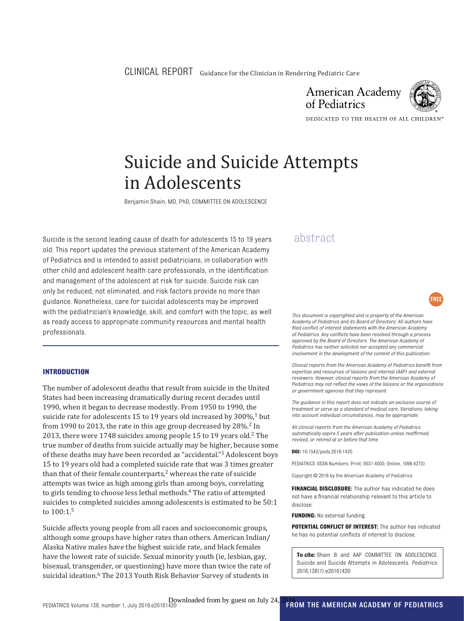CLINICAL REPORT Guidance for the Clinician in Rendering Pediatric Care

**American Academy** of Pediatrics



FREE

DEDICATED TO THE HEALTH OF ALL CHILDREN'

## Suicide and Suicide Attempts in Adolescents

Benjamin Shain, MD, PhD, COMMITTEE ON ADOLESCENCE

Suicide is the second leading cause of death for adolescents 15 to 19 years  $a$  bstract old. This report updates the previous statement of the American Academy of Pediatrics and is intended to assist pediatricians, in collaboration with other child and adolescent health care professionals, in the identification and management of the adolescent at risk for suicide. Suicide risk can only be reduced, not eliminated, and risk factors provide no more than guidance. Nonetheless, care for suicidal adolescents may be improved with the pediatrician's knowledge, skill, and comfort with the topic, as well as ready access to appropriate community resources and mental health professionals.

*This document is copyrighted and is property of the American Academy of Pediatrics and its Board of Directors. All authors have fi led confl ict of interest statements with the American Academy of Pediatrics. Any confl icts have been resolved through a process approved by the Board of Directors. The American Academy of Pediatrics has neither solicited nor accepted any commercial involvement in the development of the content of this publication.*

*Clinical reports from the American Academy of Pediatrics benefi t from expertise and resources of liaisons and internal (AAP) and external reviewers. However, clinical reports from the American Academy of*  Pediatrics may not reflect the views of the liaisons or the organizations *or government agencies that they represent.*

*The guidance in this report does not indicate an exclusive course of treatment or serve as a standard of medical care. Variations, taking into account individual circumstances, may be appropriate.*

*All clinical reports from the American Academy of Pediatrics automatically expire 5 years after publication unless reaffirmed. revised, or retired at or before that time.*

**DOI:** 10.1542/peds.2016-1420

PEDIATRICS (ISSN Numbers: Print, 0031-4005; Online, 1098-4275).

Copyright © 2016 by the American Academy of Pediatrics

**FINANCIAL DISCLOSURE:** The author has indicated he does not have a financial relationship relevant to this article to disclose.

**FUNDING:** No external funding.

**POTENTIAL CONFLICT OF INTEREST:** The author has indicated he has no potential conflicts of interest to disclose.

**To cite:** Shain B and AAP COMMITTEE ON ADOLESCENCE. Suicide and Suicide Attempts in Adolescents. *Pediatrics.* 2016;138(1):e20161420

#### **INTRODUCTION**

The number of adolescent deaths that result from suicide in the United States had been increasing dramatically during recent decades until 1990, when it began to decrease modestly. From 1950 to 1990, the suicide rate for adolescents 15 to 19 years old increased by 300%,<sup>1</sup> but from 1990 to 2013, the rate in this age group decreased by 28%.2 In 2013, there were 1748 suicides among people 15 to 19 years old.2 The true number of deaths from suicide actually may be higher, because some of these deaths may have been recorded as "accidental."3 Adolescent boys 15 to 19 years old had a completed suicide rate that was 3 times greater than that of their female counterparts, $2$  whereas the rate of suicide attempts was twice as high among girls than among boys, correlating to girls tending to choose less lethal methods.4 The ratio of attempted suicides to completed suicides among adolescents is estimated to be 50:1 to 100:1.5

Suicide affects young people from all races and socioeconomic groups, although some groups have higher rates than others. American Indian/ Alaska Native males have the highest suicide rate, and black females have the lowest rate of suicide. Sexual minority youth (ie, lesbian, gay, bisexual, transgender, or questioning) have more than twice the rate of suicidal ideation.<sup>6</sup> The 2013 Youth Risk Behavior Survey of students in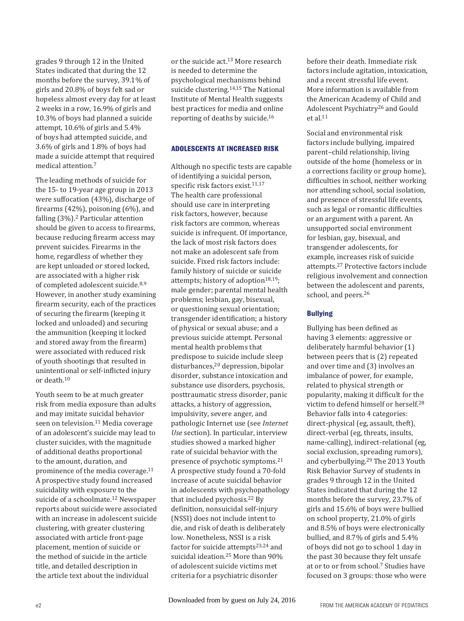grades 9 through 12 in the United States indicated that during the 12 months before the survey, 39.1% of girls and 20.8% of boys felt sad or hopeless almost every day for at least 2 weeks in a row, 16.9% of girls and 10.3% of boys had planned a suicide attempt, 10.6% of girls and 5.4% of boys had attempted suicide, and 3.6% of girls and 1.8% of boys had made a suicide attempt that required medical attention.7

The leading methods of suicide for the 15- to 19-year age group in 2013 were suffocation (43%), discharge of firearms (42%), poisoning (6%), and falling (3%).2 Particular attention should be given to access to firearms, because reducing firearm access may prevent suicides. Firearms in the home, regardless of whether they are kept unloaded or stored locked, are associated with a higher risk of completed adolescent suicide.<sup>8,9</sup> However, in another study examining firearm security, each of the practices of securing the firearm (keeping it locked and unloaded) and securing the ammunition (keeping it locked and stored away from the firearm) were associated with reduced risk of youth shootings that resulted in unintentional or self-inflicted injury or death.10

Youth seem to be at much greater risk from media exposure than adults and may imitate suicidal behavior seen on television.<sup>11</sup> Media coverage of an adolescent's suicide may lead to cluster suicides, with the magnitude of additional deaths proportional to the amount, duration, and prominence of the media coverage.<sup>11</sup> A prospective study found increased suicidality with exposure to the suicide of a schoolmate.<sup>12</sup> Newspaper reports about suicide were associated with an increase in adolescent suicide clustering, with greater clustering associated with article front-page placement, mention of suicide or the method of suicide in the article title, and detailed description in the article text about the individual

or the suicide act.<sup>13</sup> More research is needed to determine the psychological mechanisms behind suicide clustering. $14,15$  The National Institute of Mental Health suggests best practices for media and online reporting of deaths by suicide.16

#### **ADOLESCENTS AT INCREASED RISK**

Although no specific tests are capable of identifying a suicidal person, specific risk factors exist.<sup>11,17</sup> The health care professional should use care in interpreting risk factors, however, because risk factors are common, whereas suicide is infrequent. Of importance, the lack of most risk factors does not make an adolescent safe from suicide. Fixed risk factors include: family history of suicide or suicide attempts; history of adoption<sup>18,19</sup>; male gender; parental mental health problems; lesbian, gay, bisexual, or questioning sexual orientation; transgender identification; a history of physical or sexual abuse; and a previous suicide attempt. Personal mental health problems that predispose to suicide include sleep disturbances, 20 depression, bipolar disorder, substance intoxication and substance use disorders, psychosis, posttraumatic stress disorder, panic attacks, a history of aggression, impulsivity, severe anger, and pathologic Internet use (see *Internet Use* section). In particular, interview studies showed a marked higher rate of suicidal behavior with the presence of psychotic symptoms.21 A prospective study found a 70-fold increase of acute suicidal behavior in adolescents with psychopathology that included psychosis.<sup>22</sup> By definition, nonsuicidal self-injury (NSSI) does not include intent to die, and risk of death is deliberately low. Nonetheless, NSSI is a risk factor for suicide attempts $23,24$  and suicidal ideation.25 More than 90% of adolescent suicide victims met criteria for a psychiatric disorder

before their death. Immediate risk factors include agitation, intoxication, and a recent stressful life event. More information is available from the American Academy of Child and Adolescent Psychiatry26 and Gould et al.11

Social and environmental risk factors include bullying, impaired parent–child relationship, living outside of the home (homeless or in a corrections facility or group home), difficulties in school, neither working nor attending school, social isolation, and presence of stressful life events, such as legal or romantic difficulties or an argument with a parent. An unsupported social environment for lesbian, gay, bisexual, and transgender adolescents, for example, increases risk of suicide attempts.27 Protective factors include religious involvement and connection between the adolescent and parents, school, and peers.26

### **Bullying**

Bullying has been defined as having 3 elements: aggressive or deliberately harmful behavior (1) between peers that is (2) repeated and over time and (3) involves an imbalance of power, for example, related to physical strength or popularity, making it difficult for the victim to defend himself or herself.28 Behavior falls into 4 categories: direct-physical (eg, assault, theft), direct-verbal (eg, threats, insults, name-calling), indirect-relational (eg, social exclusion, spreading rumors), and cyberbullying.29 The 2013 Youth Risk Behavior Survey of students in grades 9 through 12 in the United States indicated that during the 12 months before the survey, 23.7% of girls and 15.6% of boys were bullied on school property, 21.0% of girls and 8.5% of boys were electronically bullied, and 8.7% of girls and 5.4% of boys did not go to school 1 day in the past 30 because they felt unsafe at or to or from school.7 Studies have focused on 3 groups: those who were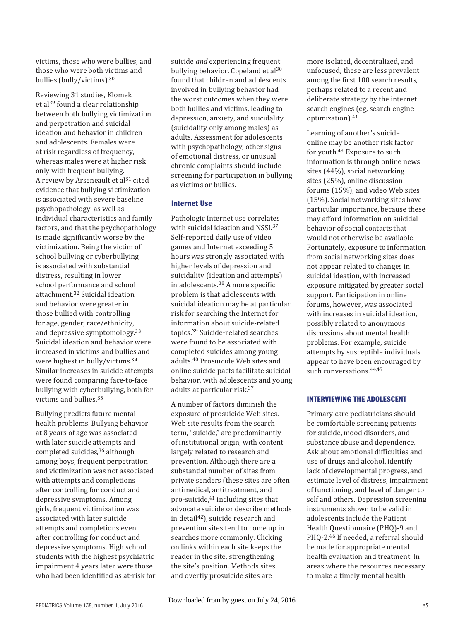victims, those who were bullies, and those who were both victims and bullies (bully/victims).30

Reviewing 31 studies, Klomek et al<sup>29</sup> found a clear relationship between both bullying victimization and perpetration and suicidal ideation and behavior in children and adolescents. Females were at risk regardless of frequency, whereas males were at higher risk only with frequent bullying. A review by Arseneault et al<sup>31</sup> cited evidence that bullying victimization is associated with severe baseline psychopathology, as well as individual characteristics and family factors, and that the psychopathology is made significantly worse by the victimization. Being the victim of school bullying or cyberbullying is associated with substantial distress, resulting in lower school performance and school attachment.32 Suicidal ideation and behavior were greater in those bullied with controlling for age, gender, race/ethnicity, and depressive symptomology.33 Suicidal ideation and behavior were increased in victims and bullies and were highest in bully/victims.34 Similar increases in suicide attempts were found comparing face-to-face bullying with cyberbullying, both for victims and bullies.35

Bullying predicts future mental health problems. Bullying behavior at 8 years of age was associated with later suicide attempts and completed suicides,<sup>36</sup> although among boys, frequent perpetration and victimization was not associated with attempts and completions after controlling for conduct and depressive symptoms. Among girls, frequent victimization was associated with later suicide attempts and completions even after controlling for conduct and depressive symptoms. High school students with the highest psychiatric impairment 4 years later were those who had been identified as at-risk for suicide *and* experiencing frequent bullying behavior. Copeland et al<sup>30</sup> found that children and adolescents involved in bullying behavior had the worst outcomes when they were both bullies and victims, leading to depression, anxiety, and suicidality (suicidality only among males) as adults. Assessment for adolescents with psychopathology, other signs of emotional distress, or unusual chronic complaints should include screening for participation in bullying as victims or bullies.

#### **Internet Use**

Pathologic Internet use correlates with suicidal ideation and NSSI.37 Self-reported daily use of video games and Internet exceeding 5 hours was strongly associated with higher levels of depression and suicidality (ideation and attempts) in adolescents.38 A more specific problem is that adolescents with suicidal ideation may be at particular risk for searching the Internet for information about suicide-related topics.39 Suicide-related searches were found to be associated with completed suicides among young adults.40 Prosuicide Web sites and online suicide pacts facilitate suicidal behavior, with adolescents and young adults at particular risk.37

A number of factors diminish the exposure of prosuicide Web sites. Web site results from the search term, "suicide," are predominantly of institutional origin, with content largely related to research and prevention. Although there are a substantial number of sites from private senders (these sites are often antimedical, antitreatment, and pro-suicide, $41$  including sites that advocate suicide or describe methods in detail<sup>42</sup>), suicide research and prevention sites tend to come up in searches more commonly. Clicking on links within each site keeps the reader in the site, strengthening the site's position. Methods sites and overtly prosuicide sites are

more isolated, decentralized, and unfocused; these are less prevalent among the first 100 search results, perhaps related to a recent and deliberate strategy by the internet search engines (eg, search engine optimization).41

Learning of another's suicide online may be another risk factor for youth.43 Exposure to such information is through online news sites (44%), social networking sites (25%), online discussion forums (15%), and video Web sites (15%). Social networking sites have particular importance, because these may afford information on suicidal behavior of social contacts that would not otherwise be available. Fortunately, exposure to information from social networking sites does not appear related to changes in suicidal ideation, with increased exposure mitigated by greater social support. Participation in online forums, however, was associated with increases in suicidal ideation, possibly related to anonymous discussions about mental health problems. For example, suicide attempts by susceptible individuals appear to have been encouraged by such conversations.  $44,45$ 

#### **INTERVIEWING THE ADOLESCENT**

Primary care pediatricians should be comfortable screening patients for suicide, mood disorders, and substance abuse and dependence. Ask about emotional difficulties and use of drugs and alcohol, identify lack of developmental progress, and estimate level of distress, impairment of functioning, and level of danger to self and others. Depression screening instruments shown to be valid in adolescents include the Patient Health Questionnaire (PHQ)-9 and PHQ-2.46 If needed, a referral should be made for appropriate mental health evaluation and treatment. In areas where the resources necessary to make a timely mental health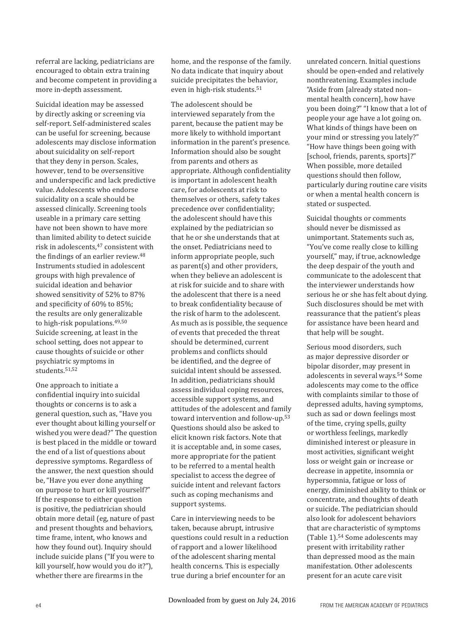referral are lacking, pediatricians are encouraged to obtain extra training and become competent in providing a more in-depth assessment.

Suicidal ideation may be assessed by directly asking or screening via self-report. Self-administered scales can be useful for screening, because adolescents may disclose information about suicidality on self-report that they deny in person. Scales, however, tend to be oversensitive and underspecific and lack predictive value. Adolescents who endorse suicidality on a scale should be assessed clinically. Screening tools useable in a primary care setting have not been shown to have more than limited ability to detect suicide risk in adolescents, 47 consistent with the findings of an earlier review.<sup>48</sup> Instruments studied in adolescent groups with high prevalence of suicidal ideation and behavior showed sensitivity of 52% to 87% and specificity of 60% to 85%; the results are only generalizable to high-risk populations. $49,50$ Suicide screening, at least in the school setting, does not appear to cause thoughts of suicide or other psychiatric symptoms in students.<sup>51,52</sup>

One approach to initiate a confidential inquiry into suicidal thoughts or concerns is to ask a general question, such as, "Have you ever thought about killing yourself or wished you were dead?" The question is best placed in the middle or toward the end of a list of questions about depressive symptoms. Regardless of the answer, the next question should be, "Have you ever done anything on purpose to hurt or kill yourself?" If the response to either question is positive, the pediatrician should obtain more detail (eg, nature of past and present thoughts and behaviors, time frame, intent, who knows and how they found out). Inquiry should include suicide plans ("If you were to kill yourself, how would you do it?"), whether there are firearms in the

home, and the response of the family. No data indicate that inquiry about suicide precipitates the behavior, even in high-risk students.<sup>51</sup>

The adolescent should be interviewed separately from the parent, because the patient may be more likely to withhold important information in the parent's presence. Information should also be sought from parents and others as appropriate. Although confidentiality is important in adolescent health care, for adolescents at risk to themselves or others, safety takes precedence over confidentiality; the adolescent should have this explained by the pediatrician so that he or she understands that at the onset. Pediatricians need to inform appropriate people, such as parent(s) and other providers, when they believe an adolescent is at risk for suicide and to share with the adolescent that there is a need to break confidentiality because of the risk of harm to the adolescent. As much as is possible, the sequence of events that preceded the threat should be determined, current problems and conflicts should be identified, and the degree of suicidal intent should be assessed. In addition, pediatricians should assess individual coping resources, accessible support systems, and attitudes of the adolescent and family toward intervention and follow-up.53 Questions should also be asked to elicit known risk factors. Note that it is acceptable and, in some cases, more appropriate for the patient to be referred to a mental health specialist to access the degree of suicide intent and relevant factors such as coping mechanisms and support systems.

Care in interviewing needs to be taken, because abrupt, intrusive questions could result in a reduction of rapport and a lower likelihood of the adolescent sharing mental health concerns. This is especially true during a brief encounter for an

unrelated concern. Initial questions should be open-ended and relatively nonthreatening. Examples include "Aside from [already stated non– mental health concern], how have you been doing?" "I know that a lot of people your age have a lot going on. What kinds of things have been on your mind or stressing you lately?" "How have things been going with [school, friends, parents, sports]?" When possible, more detailed questions should then follow, particularly during routine care visits or when a mental health concern is stated or suspected.

Suicidal thoughts or comments should never be dismissed as unimportant. Statements such as, "You've come really close to killing yourself," may, if true, acknowledge the deep despair of the youth and communicate to the adolescent that the interviewer understands how serious he or she has felt about dying. Such disclosures should be met with reassurance that the patient's pleas for assistance have been heard and that help will be sought.

Serious mood disorders, such as major depressive disorder or bipolar disorder, may present in adolescents in several ways.54 Some adolescents may come to the office with complaints similar to those of depressed adults, having symptoms, such as sad or down feelings most of the time, crying spells, guilty or worthless feelings, markedly diminished interest or pleasure in most activities, significant weight loss or weight gain or increase or decrease in appetite, insomnia or hypersomnia, fatigue or loss of energy, diminished ability to think or concentrate, and thoughts of death or suicide. The pediatrician should also look for adolescent behaviors that are characteristic of symptoms (Table 1).54 Some adolescents may present with irritability rather than depressed mood as the main manifestation. Other adolescents present for an acute care visit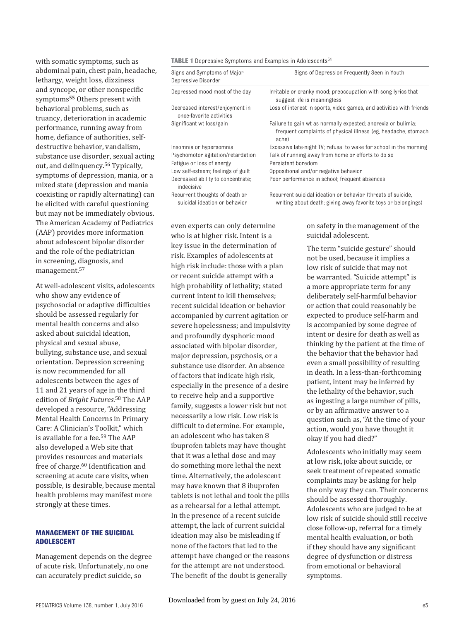with somatic symptoms, such as abdominal pain, chest pain, headache, lethargy, weight loss, dizziness and syncope, or other nonspecific symptoms<sup>55</sup> Others present with behavioral problems, such as truancy, deterioration in academic performance, running away from home, defiance of authorities, selfdestructive behavior, vandalism, substance use disorder, sexual acting out, and delinquency.56 Typically, symptoms of depression, mania, or a mixed state (depression and mania coexisting or rapidly alternating) can be elicited with careful questioning but may not be immediately obvious. The American Academy of Pediatrics (AAP) provides more information about adolescent bipolar disorder and the role of the pediatrician in screening, diagnosis, and management.57

At well-adolescent visits, adolescents who show any evidence of psychosocial or adaptive difficulties should be assessed regularly for mental health concerns and also asked about suicidal ideation, physical and sexual abuse, bullying, substance use, and sexual orientation. Depression screening is now recommended for all adolescents between the ages of 11 and 21 years of age in the third edition of *Bright Futures*. 58 The AAP developed a resource, "Addressing Mental Health Concerns in Primary Care: A Clinician's Toolkit," which is available for a fee.<sup>59</sup> The AAP also developed a Web site that provides resources and materials free of charge.<sup>60</sup> Identification and screening at acute care visits, when possible, is desirable, because mental health problems may manifest more strongly at these times.

#### **MANAGEMENT OF THE SUICIDAL ADOLESCENT**

Management depends on the degree of acute risk. Unfortunately, no one can accurately predict suicide, so

TABLE 1 Depressive Symptoms and Examples in Adolescents<sup>54</sup>

| Signs and Symptoms of Major<br>Depressive Disorder              | Signs of Depression Frequently Seen in Youth                                                                                             |
|-----------------------------------------------------------------|------------------------------------------------------------------------------------------------------------------------------------------|
| Depressed mood most of the day                                  | Irritable or cranky mood; preoccupation with song lyrics that<br>suggest life is meaningless                                             |
| Decreased interest/enjoyment in<br>once-favorite activities     | Loss of interest in sports, video games, and activities with friends                                                                     |
| Significant wt loss/gain                                        | Failure to gain wt as normally expected; anorexia or bulimia;<br>frequent complaints of physical illness (eg, headache, stomach<br>ache) |
| Insomnia or hypersomnia                                         | Excessive late-night TV; refusal to wake for school in the morning                                                                       |
| Psychomotor agitation/retardation                               | Talk of running away from home or efforts to do so                                                                                       |
| Fatigue or loss of energy                                       | Persistent boredom                                                                                                                       |
| Low self-esteem; feelings of guilt                              | Oppositional and/or negative behavior                                                                                                    |
| Decreased ability to concentrate;<br>indecisive                 | Poor performance in school; frequent absences                                                                                            |
| Recurrent thoughts of death or<br>suicidal ideation or behavior | Recurrent suicidal ideation or behavior (threats of suicide,<br>writing about death; giving away favorite toys or belongings)            |

even experts can only determine who is at higher risk. Intent is a key issue in the determination of risk. Examples of adolescents at high risk include: those with a plan or recent suicide attempt with a high probability of lethality; stated current intent to kill themselves; recent suicidal ideation or behavior accompanied by current agitation or severe hopelessness; and impulsivity and profoundly dysphoric mood associated with bipolar disorder, major depression, psychosis, or a substance use disorder. An absence of factors that indicate high risk, especially in the presence of a desire to receive help and a supportive family, suggests a lower risk but not necessarily a low risk. Low risk is difficult to determine. For example, an adolescent who has taken 8 ibuprofen tablets may have thought that it was a lethal dose and may do something more lethal the next time. Alternatively, the adolescent may have known that 8 ibuprofen tablets is not lethal and took the pills as a rehearsal for a lethal attempt. In the presence of a recent suicide attempt, the lack of current suicidal ideation may also be misleading if none of the factors that led to the attempt have changed or the reasons for the attempt are not understood. The benefit of the doubt is generally

on safety in the management of the suicidal adolescent.

The term "suicide gesture" should not be used, because it implies a low risk of suicide that may not be warranted. "Suicide attempt" is a more appropriate term for any deliberately self-harmful behavior or action that could reasonably be expected to produce self-harm and is accompanied by some degree of intent or desire for death as well as thinking by the patient at the time of the behavior that the behavior had even a small possibility of resulting in death. In a less-than-forthcoming patient, intent may be inferred by the lethality of the behavior, such as ingesting a large number of pills, or by an affirmative answer to a question such as, "At the time of your action, would you have thought it okay if you had died?"

Adolescents who initially may seem at low risk, joke about suicide, or seek treatment of repeated somatic complaints may be asking for help the only way they can. Their concerns should be assessed thoroughly. Adolescents who are judged to be at low risk of suicide should still receive close follow-up, referral for a timely mental health evaluation, or both if they should have any significant degree of dysfunction or distress from emotional or behavioral symptoms.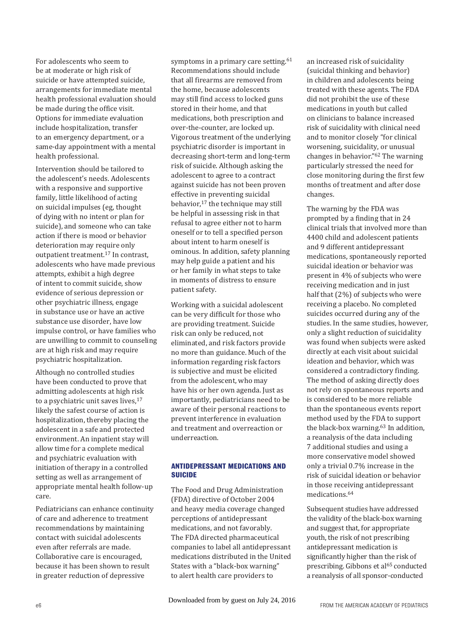For adolescents who seem to be at moderate or high risk of suicide or have attempted suicide, arrangements for immediate mental health professional evaluation should be made during the office visit. Options for immediate evaluation include hospitalization, transfer to an emergency department, or a same-day appointment with a mental health professional.

Intervention should be tailored to the adolescent's needs. Adolescents with a responsive and supportive family, little likelihood of acting on suicidal impulses (eg, thought of dying with no intent or plan for suicide), and someone who can take action if there is mood or behavior deterioration may require only outpatient treatment.17 In contrast, adolescents who have made previous attempts, exhibit a high degree of intent to commit suicide, show evidence of serious depression or other psychiatric illness, engage in substance use or have an active substance use disorder, have low impulse control, or have families who are unwilling to commit to counseling are at high risk and may require psychiatric hospitalization.

Although no controlled studies have been conducted to prove that admitting adolescents at high risk to a psychiatric unit saves lives, $17$ likely the safest course of action is hospitalization, thereby placing the adolescent in a safe and protected environment. An inpatient stay will allow time for a complete medical and psychiatric evaluation with initiation of therapy in a controlled setting as well as arrangement of appropriate mental health follow-up care.

Pediatricians can enhance continuity of care and adherence to treatment recommendations by maintaining contact with suicidal adolescents even after referrals are made. Collaborative care is encouraged, because it has been shown to result in greater reduction of depressive

symptoms in a primary care setting.<sup>61</sup> Recommendations should include that all firearms are removed from the home, because adolescents may still find access to locked guns stored in their home, and that medications, both prescription and over-the-counter, are locked up. Vigorous treatment of the underlying psychiatric disorder is important in decreasing short-term and long-term risk of suicide. Although asking the adolescent to agree to a contract against suicide has not been proven effective in preventing suicidal behavior,<sup>17</sup> the technique may still be helpful in assessing risk in that refusal to agree either not to harm oneself or to tell a specified person about intent to harm oneself is ominous. In addition, safety planning may help guide a patient and his or her family in what steps to take in moments of distress to ensure patient safety.

Working with a suicidal adolescent can be very difficult for those who are providing treatment. Suicide risk can only be reduced, not eliminated, and risk factors provide no more than guidance. Much of the information regarding risk factors is subjective and must be elicited from the adolescent, who may have his or her own agenda. Just as importantly, pediatricians need to be aware of their personal reactions to prevent interference in evaluation and treatment and overreaction or underreaction.

#### **ANTIDEPRESSANT MEDICATIONS AND SUICIDE**

The Food and Drug Administration (FDA) directive of October 2004 and heavy media coverage changed perceptions of antidepressant medications, and not favorably. The FDA directed pharmaceutical companies to label all antidepressant medications distributed in the United States with a "black-box warning" to alert health care providers to

an increased risk of suicidality (suicidal thinking and behavior) in children and adolescents being treated with these agents. The FDA did not prohibit the use of these medications in youth but called on clinicians to balance increased risk of suicidality with clinical need and to monitor closely "for clinical worsening, suicidality, or unusual changes in behavior."62 The warning particularly stressed the need for close monitoring during the first few months of treatment and after dose changes.

The warning by the FDA was prompted by a finding that in 24 clinical trials that involved more than 4400 child and adolescent patients and 9 different antidepressant medications, spontaneously reported suicidal ideation or behavior was present in 4% of subjects who were receiving medication and in just half that (2%) of subjects who were receiving a placebo. No completed suicides occurred during any of the studies. In the same studies, however, only a slight reduction of suicidality was found when subjects were asked directly at each visit about suicidal ideation and behavior, which was considered a contradictory finding. The method of asking directly does not rely on spontaneous reports and is considered to be more reliable than the spontaneous events report method used by the FDA to support the black-box warning.<sup>63</sup> In addition, a reanalysis of the data including 7 additional studies and using a more conservative model showed only a trivial 0.7% increase in the risk of suicidal ideation or behavior in those receiving antidepressant medications.64

Subsequent studies have addressed the validity of the black-box warning and suggest that, for appropriate youth, the risk of not prescribing antidepressant medication is significantly higher than the risk of prescribing. Gibbons et al<sup>65</sup> conducted a reanalysis of all sponsor-conducted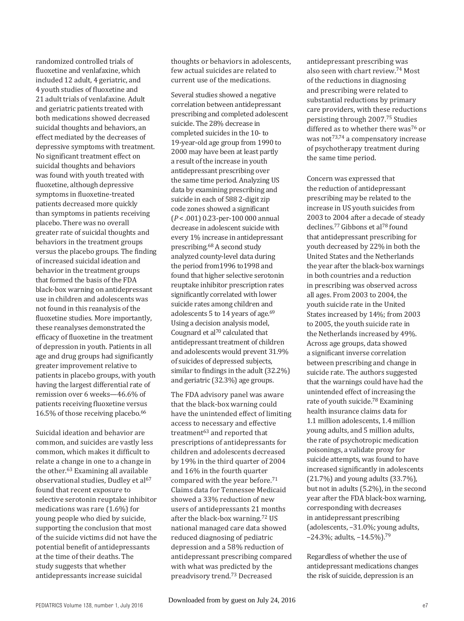randomized controlled trials of fluoxetine and venlafaxine, which included 12 adult, 4 geriatric, and 4 youth studies of fluoxetine and 21 adult trials of venlafaxine. Adult and geriatric patients treated with both medications showed decreased suicidal thoughts and behaviors, an effect mediated by the decreases of depressive symptoms with treatment. No significant treatment effect on suicidal thoughts and behaviors was found with youth treated with fluoxetine, although depressive symptoms in fluoxetine-treated patients decreased more quickly than symptoms in patients receiving placebo. There was no overall greater rate of suicidal thoughts and behaviors in the treatment groups versus the placebo groups. The finding of increased suicidal ideation and behavior in the treatment groups that formed the basis of the FDA black-box warning on antidepressant use in children and adolescents was not found in this reanalysis of the fluoxetine studies. More importantly, these reanalyses demonstrated the efficacy of fluoxetine in the treatment of depression in youth. Patients in all age and drug groups had significantly greater improvement relative to patients in placebo groups, with youth having the largest differential rate of remission over 6 weeks—46.6% of patients receiving fluoxetine versus 16.5% of those receiving placebo.66

Suicidal ideation and behavior are common, and suicides are vastly less common, which makes it difficult to relate a change in one to a change in the other.63 Examining all available observational studies, Dudley et al<sup>67</sup> found that recent exposure to selective serotonin reuptake inhibitor medications was rare (1.6%) for young people who died by suicide, supporting the conclusion that most of the suicide victims did not have the potential benefit of antidepressants at the time of their deaths. The study suggests that whether antidepressants increase suicidal

thoughts or behaviors in adolescents, few actual suicides are related to current use of the medications.

Several studies showed a negative correlation between antidepressant prescribing and completed adolescent suicide. The 28% decrease in completed suicides in the 10- to 19-year-old age group from 1990 to 2000 may have been at least partly a result of the increase in youth antidepressant prescribing over the same time period. Analyzing US data by examining prescribing and suicide in each of 588 2-digit zip code zones showed a significant (*P* < .001) 0.23-per-100 000 annual decrease in adolescent suicide with every 1% increase in antidepressant prescribing.68 A second study analyzed county-level data during the period from1996 to1998 and found that higher selective serotonin reuptake inhibitor prescription rates significantly correlated with lower suicide rates among children and adolescents 5 to 14 years of age.<sup>69</sup> Using a decision analysis model, Cougnard et al70 calculated that antidepressant treatment of children and adolescents would prevent 31.9% of suicides of depressed subjects, similar to findings in the adult (32.2%) and geriatric (32.3%) age groups.

The FDA advisory panel was aware that the black-box warning could have the unintended effect of limiting access to necessary and effective treatment $63$  and reported that prescriptions of antidepressants for children and adolescents decreased by 19% in the third quarter of 2004 and 16% in the fourth quarter compared with the year before.<sup>71</sup> Claims data for Tennessee Medicaid showed a 33% reduction of new users of antidepressants 21 months after the black-box warning.72 US national managed care data showed reduced diagnosing of pediatric depression and a 58% reduction of antidepressant prescribing compared with what was predicted by the preadvisory trend.73 Decreased

antidepressant prescribing was also seen with chart review.74 Most of the reductions in diagnosing and prescribing were related to substantial reductions by primary care providers, with these reductions persisting through 2007.75 Studies differed as to whether there was<sup>76</sup> or was not<sup> $73,74$ </sup> a compensatory increase of psychotherapy treatment during the same time period.

Concern was expressed that the reduction of antidepressant prescribing may be related to the increase in US youth suicides from 2003 to 2004 after a decade of steady declines.<sup>77</sup> Gibbons et al<sup>78</sup> found that antidepressant prescribing for youth decreased by 22% in both the United States and the Netherlands the year after the black-box warnings in both countries and a reduction in prescribing was observed across all ages. From 2003 to 2004, the youth suicide rate in the United States increased by 14%; from 2003 to 2005, the youth suicide rate in the Netherlands increased by 49%. Across age groups, data showed a significant inverse correlation between prescribing and change in suicide rate. The authors suggested that the warnings could have had the unintended effect of increasing the rate of youth suicide.78 Examining health insurance claims data for 1.1 million adolescents, 1.4 million young adults, and 5 million adults, the rate of psychotropic medication poisonings, a validate proxy for suicide attempts, was found to have increased significantly in adolescents (21.7%) and young adults (33.7%), but not in adults (5.2%), in the second year after the FDA black-box warning, corresponding with decreases in antidepressant prescribing (adolescents, –31.0%; young adults,  $-24.3\%$ ; adults,  $-14.5\%$ ).<sup>79</sup>

Regardless of whether the use of antidepressant medications changes the risk of suicide, depression is an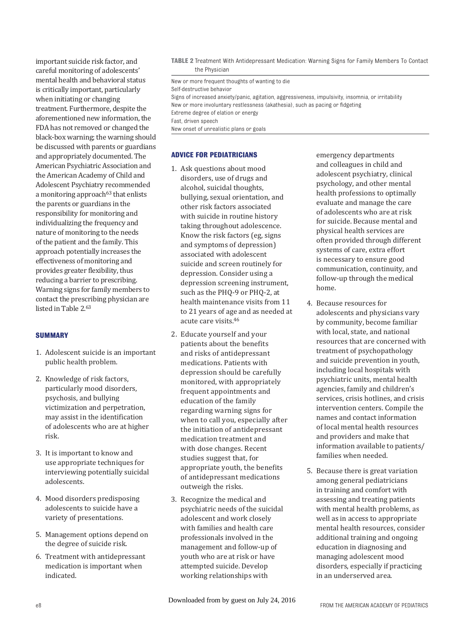important suicide risk factor, and careful monitoring of adolescents' mental health and behavioral status is critically important, particularly when initiating or changing treatment. Furthermore, despite the aforementioned new information, the FDA has not removed or changed the black-box warning; the warning should be discussed with parents or guardians and appropriately documented. The American Psychiatric Association and the American Academy of Child and Adolescent Psychiatry recommended a monitoring approach $63$  that enlists the parents or guardians in the responsibility for monitoring and individualizing the frequency and nature of monitoring to the needs of the patient and the family. This approach potentially increases the effectiveness of monitoring and provides greater flexibility, thus reducing a barrier to prescribing. Warning signs for family members to contact the prescribing physician are listed in Table 2.63

#### **SUMMARY**

- 1. Adolescent suicide is an important public health problem.
- 2. Knowledge of risk factors, particularly mood disorders, psychosis, and bullying victimization and perpetration, may assist in the identification of adolescents who are at higher risk.
- 3. It is important to know and use appropriate techniques for interviewing potentially suicidal adolescents.
- 4. Mood disorders predisposing adolescents to suicide have a variety of presentations.
- 5. Management options depend on the degree of suicide risk.
- 6. Treatment with antidepressant medication is important when indicated.

**TABLE 2** Treatment With Antidepressant Medication: Warning Signs for Family Members To Contact the Physician

New or more frequent thoughts of wanting to die Self-destructive behavior Signs of increased anxiety/panic, agitation, aggressiveness, impulsivity, insomnia, or irritability New or more involuntary restlessness (akathesia), such as pacing or fidgeting Extreme degree of elation or energy Fast, driven speech New onset of unrealistic plans or goals

#### **ADVICE FOR PEDIATRICIANS**

- 1. Ask questions about mood disorders, use of drugs and alcohol, suicidal thoughts, bullying, sexual orientation, and other risk factors associated with suicide in routine history taking throughout adolescence. Know the risk factors (eg, signs and symptoms of depression) associated with adolescent suicide and screen routinely for depression. Consider using a depression screening instrument, such as the PHQ-9 or PHQ-2, at health maintenance visits from 11 to 21 years of age and as needed at acute care visits.46
- 2. Educate yourself and your patients about the benefits and risks of antidepressant medications. Patients with depression should be carefully monitored, with appropriately frequent appointments and education of the family regarding warning signs for when to call you, especially after the initiation of antidepressant medication treatment and with dose changes. Recent studies suggest that, for appropriate youth, the benefits of antidepressant medications outweigh the risks.
- 3. Recognize the medical and psychiatric needs of the suicidal adolescent and work closely with families and health care professionals involved in the management and follow-up of youth who are at risk or have attempted suicide. Develop working relationships with

emergency departments and colleagues in child and adolescent psychiatry, clinical psychology, and other mental health professions to optimally evaluate and manage the care of adolescents who are at risk for suicide. Because mental and physical health services are often provided through different systems of care, extra effort is necessary to ensure good communication, continuity, and follow-up through the medical home.

- 4. Because resources for adolescents and physicians vary by community, become familiar with local, state, and national resources that are concerned with treatment of psychopathology and suicide prevention in youth, including local hospitals with psychiatric units, mental health agencies, family and children's services, crisis hotlines, and crisis intervention centers. Compile the names and contact information of local mental health resources and providers and make that information available to patients/ families when needed.
- 5. Because there is great variation among general pediatricians in training and comfort with assessing and treating patients with mental health problems, as well as in access to appropriate mental health resources, consider additional training and ongoing education in diagnosing and managing adolescent mood disorders, especially if practicing in an underserved area.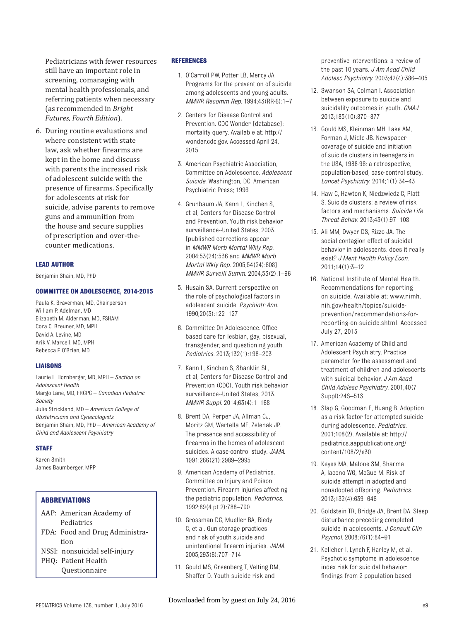Pediatricians with fewer resources still have an important role in screening, comanaging with mental health professionals, and referring patients when necessary (as recommended in *Bright Futures, Fourth Edition*).

6. During routine evaluations and where consistent with state law, ask whether firearms are kept in the home and discuss with parents the increased risk of adolescent suicide with the presence of firearms. Specifically for adolescents at risk for suicide, advise parents to remove guns and ammunition from the house and secure supplies of prescription and over-thecounter medications.

#### **LEAD AUTHOR**

Benjamin Shain, MD, PhD

#### **COMMITTEE ON ADOLESCENCE, 2014-2015**

Paula K. Braverman, MD, Chairperson William P. Adelman, MD Elizabeth M. Alderman, MD, FSHAM Cora C. Breuner, MD, MPH David A. Levine, MD Arik V. Marcell, MD, MPH Rebecca F. O'Brien, MD

#### **LIAISONS**

Laurie L. Hornberger, MD, MPH – *Section on Adolescent Health* Margo Lane, MD, FRCPC – *Canadian Pediatric Society* Julie Strickland, MD – *American College of Obstetricians and Gynecologists* Benjamin Shain, MD, PhD – *American Academy of Child and Adolescent Psychiatry*

#### **STAFF**

Karen Smith James Baumberger, MPP

#### **ABBREVIATIONS**

AAP: American Academy of Pediatrics FDA: Food and Drug Administration NSSI: nonsuicidal self-injury PHQ: Patient Health

Questionnaire

#### **REFERENCES**

- 1. O'Carroll PW, Potter LB, Mercy JA. Programs for the prevention of suicide among adolescents and young adults. *MMWR Recomm Rep*. 1994;43(RR-6):1–7
- 2. Centers for Disease Control and Prevention. CDC Wonder [database]: mortality query. Available at: http:// wonder.cdc.gov. Accessed April 24, 2015
- 3. American Psychiatric Association, Committee on Adolescence. *Adolescent Suicide*. Washington, DC: American Psychiatric Press; 1996
- 4. Grunbaum JA, Kann L, Kinchen S, et al; Centers for Disease Control and Prevention. Youth risk behavior surveillance--United States, 2003. [published corrections appear in *MMWR Morb Mortal Wkly Rep*. 2004;53(24):536 and *MMWR Morb Mortal Wkly Rep*. 2005;54(24):608] *MMWR Surveill Summ*. 2004;53(2):1–96
- 5. Husain SA. Current perspective on the role of psychological factors in adolescent suicide. *Psychiatr Ann*. 1990;20(3):122–127
- 6. Committee On Adolescence. Officebased care for lesbian, gay, bisexual, transgender, and questioning youth. *Pediatrics*. 2013;132(1):198–203
- 7. Kann L, Kinchen S, Shanklin SL, et al; Centers for Disease Control and Prevention (CDC). Youth risk behavior surveillance--United States, 2013. *MMWR Suppl*. 2014;63(4):1–168
- 8. Brent DA, Perper JA, Allman CJ, Moritz GM, Wartella ME, Zelenak JP. The presence and accessibility of firearms in the homes of adolescent suicides. A case-control study. *JAMA*. 1991;266(21):2989–2995
- 9. American Academy of Pediatrics, Committee on Injury and Poison Prevention. Firearm injuries affecting the pediatric population. *Pediatrics*. 1992;89(4 pt 2):788–790
- 10. Grossman DC, Mueller BA, Riedy C, et al. Gun storage practices and risk of youth suicide and unintentional firearm injuries. JAMA. 2005;293(6):707–714
- 11. Gould MS, Greenberg T, Velting DM, Shaffer D. Youth suicide risk and

preventive interventions: a review of the past 10 years. *J Am Acad Child Adolesc Psychiatry*. 2003;42(4):386–405

- 12. Swanson SA, Colman I. Association between exposure to suicide and suicidality outcomes in youth. *CMAJ*. 2013;185(10):870–877
- 13. Gould MS, Kleinman MH, Lake AM, Forman J, Midle JB. Newspaper coverage of suicide and initiation of suicide clusters in teenagers in the USA, 1988-96: a retrospective, population-based, case-control study. *Lancet Psychiatry*. 2014;1(1):34–43
- 14. Haw C, Hawton K, Niedzwiedz C, Platt S. Suicide clusters: a review of risk factors and mechanisms. *Suicide Life Threat Behav*. 2013;43(1):97–108
- 15. Ali MM, Dwyer DS, Rizzo JA. The social contagion effect of suicidal behavior in adolescents: does it really exist? *J Ment Health Policy Econ*. 2011;14(1):3–12
- 16. National Institute of Mental Health. Recommendations for reporting on suicide. Available at: www. nimh. nih.gov/health/topics/suicideprevention/recommendations-forreporting-on-suicide.shtml. Accessed July 27, 2015
- 17. American Academy of Child and Adolescent Psychiatry. Practice parameter for the assessment and treatment of children and adolescents with suicidal behavior. *J Am Acad Child Adolesc Psychiatry*. 2001;40(7 Suppl):24S–51S
- 18. Slap G, Goodman E, Huang B. Adoption as a risk factor for attempted suicide during adolescence. *Pediatrics*. 2001;108(2). Available at: http:// pediatrics. aappublications. org/ content/108/2/e30
- 19. Keyes MA, Malone SM, Sharma A, Iacono WG, McGue M. Risk of suicide attempt in adopted and nonadopted offspring. *Pediatrics*. 2013;132(4):639–646
- 20. Goldstein TR, Bridge JA, Brent DA. Sleep disturbance preceding completed suicide in adolescents. *J Consult Clin Psychol*. 2008;76(1):84–91
- 21. Kelleher I, Lynch F, Harley M, et al. Psychotic symptoms in adolescence index risk for suicidal behavior: findings from 2 population-based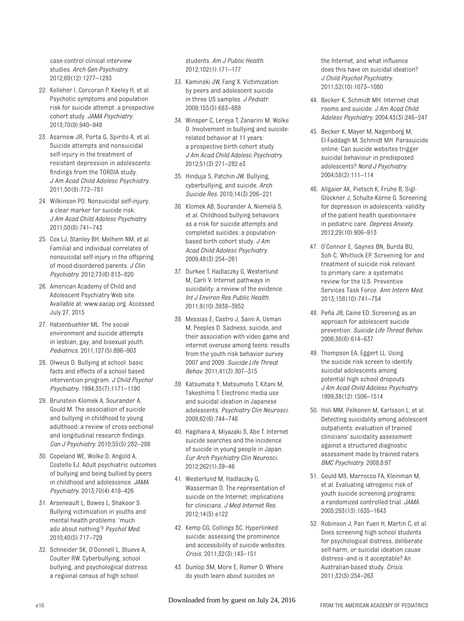case-control clinical interview studies. *Arch Gen Psychiatry*. 2012;69(12):1277–1283

- 22. Kelleher I, Corcoran P, Keeley H, et al. Psychotic symptoms and population risk for suicide attempt: a prospective cohort study. *JAMA Psychiatry*. 2013;70(9):940–948
- 23. Asarnow JR, Porta G, Spirito A, et al. Suicide attempts and nonsuicidal self-injury in the treatment of resistant depression in adolescents: findings from the TORDIA study. *J Am Acad Child Adolesc Psychiatry*. 2011;50(8):772–781
- 24. Wilkinson PO. Nonsuicidal self-injury: a clear marker for suicide risk. *J Am Acad Child Adolesc Psychiatry*. 2011;50(8):741–743
- 25. Cox LJ, Stanley BH, Melhem NM, et al. Familial and individual correlates of nonsuicidal self-injury in the offspring of mood-disordered parents. *J Clin Psychiatry*. 2012;73(6):813–820
- 26. American Academy of Child and Adolescent Psychiatry Web site. Available at: www.aacap.org. Accessed July 27, 2015
- 27. Hatzenbuehler ML. The social environment and suicide attempts in lesbian, gay, and bisexual youth. *Pediatrics*. 2011;127(5):896–903
- 28. Olweus D. Bullying at school: basic facts and effects of a school based intervention program. *J Child Psychol Psychiatry*. 1994;35(7):1171–1190
- 29. Brunstein Klomek A, Sourander A, Gould M. The association of suicide and bullying in childhood to young adulthood: a review of cross-sectional and longitudinal research findings. *Can J Psychiatry*. 2010;55(5):282–288
- 30. Copeland WE, Wolke D, Angold A, Costello EJ. Adult psychiatric outcomes of bullying and being bullied by peers in childhood and adolescence. *JAMA Psychiatry*. 2013;70(4):419–426
- 31. Arseneault L, Bowes L, Shakoor S. Bullying victimization in youths and mental health problems: 'much ado about nothing'? *Psychol Med*. 2010;40(5):717–729
- 32. Schneider SK, O'Donnell L, Stueve A, Coulter RW. Cyberbullying, school bullying, and psychological distress: a regional census of high school

students. *Am J Public Health*. 2012;102(1):171–177

- 33. Kaminski JW, Fang X. Victimization by peers and adolescent suicide in three US samples. *J Pediatr*. 2009;155(5):683–688
- 34. Winsper C, Lereya T, Zanarini M, Wolke D. Involvement in bullying and suiciderelated behavior at 11 years: a prospective birth cohort study. *J Am Acad Child Adolesc Psychiatry*. 2012;51(3):271–282.e3
- 35. Hinduja S, Patchin JW. Bullying, cyberbullying, and suicide. *Arch Suicide Res*. 2010;14(3):206–221
- 36. Klomek AB, Sourander A, Niemelä S, et al. Childhood bullying behaviors as a risk for suicide attempts and completed suicides: a populationbased birth cohort study. *J Am Acad Child Adolesc Psychiatry*. 2009;48(3):254–261
- 37. Durkee T, Hadlaczky G, Westerlund M, Carli V. Internet pathways in suicidality: a review of the evidence. *Int J Environ Res Public Health*. 2011;8(10):3938–3952
- 38. Messias E, Castro J, Saini A, Usman M, Peeples D. Sadness, suicide, and their association with video game and internet overuse among teens: results from the youth risk behavior survey 2007 and 2009. *Suicide Life Threat Behav*. 2011;41(3):307–315
- 39. Katsumata Y, Matsumoto T, Kitani M, Takeshima T. Electronic media use and suicidal ideation in Japanese adolescents. *Psychiatry Clin Neurosci*. 2008;62(6):744–746
- 40. Hagihara A, Miyazaki S, Abe T. Internet suicide searches and the incidence of suicide in young people in Japan. *Eur Arch Psychiatry Clin Neurosci*. 2012;262(1):39–46
- 41. Westerlund M, Hadlaczky G, Wasserman D. The representation of suicide on the Internet: implications for clinicians. *J Med Internet Res*. 2012;14(5):e122
- 42. Kemp CG, Collings SC. Hyperlinked suicide: assessing the prominence and accessibility of suicide websites. *Crisis*. 2011;32(3):143–151
- 43. Dunlop SM, More E, Romer D. Where do youth learn about suicides on

the Internet, and what influence does this have on suicidal ideation? *J Child Psychol Psychiatry*. 2011;52(10):1073–1080

- 44. Becker K, Schmidt MH. Internet chat rooms and suicide. *J Am Acad Child Adolesc Psychiatry*. 2004;43(3):246–247
- 45. Becker K, Mayer M, Nagenborg M, El-Faddagh M, Schmidt MH. Parasuicide online: Can suicide websites trigger suicidal behaviour in predisposed adolescents? *Nord J Psychiatry*. 2004;58(2):111–114
- 46. Allgaier AK, Pietsch K, Frühe B, Sigl-Glöckner J, Schulte-Körne G. Screening for depression in adolescents: validity of the patient health questionnaire in pediatric care. *Depress Anxiety*. 2012;29(10):906–913
- 47. O'Connor E, Gaynes BN, Burda BU, Soh C, Whitlock EP. Screening for and treatment of suicide risk relevant to primary care: a systematic review for the U.S. Preventive Services Task Force. *Ann Intern Med*. 2013;158(10):741–754
- 48. Peña JB, Caine ED. Screening as an approach for adolescent suicide prevention. *Suicide Life Threat Behav*. 2006;36(6):614–637
- 49. Thompson EA, Eggert LL. Using the suicide risk screen to identify suicidal adolescents among potential high school dropouts. *J Am Acad Child Adolesc Psychiatry*. 1999;38(12):1506–1514
- 50. Holi MM, Pelkonen M, Karlsson L, et al. Detecting suicidality among adolescent outpatients: evaluation of trained clinicians' suicidality assessment against a structured diagnostic assessment made by trained raters. *BMC Psychiatry*. 2008;8:97
- 51. Gould MS, Marrocco FA, Kleinman M, et al. Evaluating iatrogenic risk of youth suicide screening programs: a randomized controlled trial. *JAMA*. 2005;293(13):1635–1643
- 52. Robinson J, Pan Yuen H, Martin C, et al. Does screening high school students for psychological distress, deliberate self-harm, or suicidal ideation cause distress--and is it acceptable? An Australian-based study. *Crisis*. 2011;32(5):254–263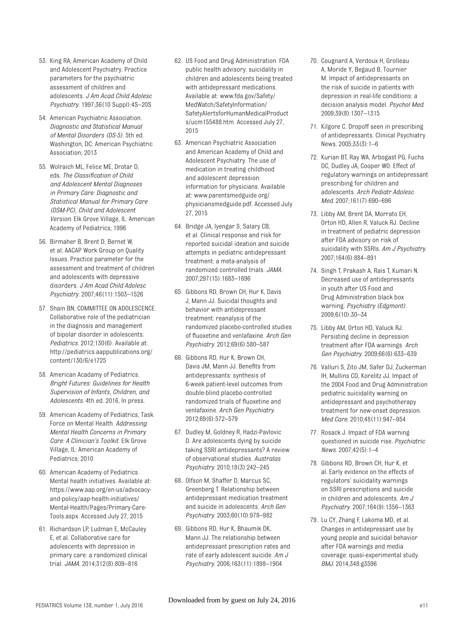- 53. King RA; American Academy of Child and Adolescent Psychiatry. Practice parameters for the psychiatric assessment of children and adolescents. *J Am Acad Child Adolesc Psychiatry*. 1997;36(10 Suppl):4S–20S
- 54. American Psychiatric Association. *Diagnostic and Statistical Manual of Mental Disorders (DS-5)*. 5th ed. Washington, DC: American Psychiatric Association; 2013
- 55. Wolraich ML, Felice ME, Drotar D, eds. The Classification of Child *and Adolescent Mental Diagnoses in Primary Care: Diagnostic and Statistical Manual for Primary Care (DSM-PC), Child and Adolescent Version*. Elk Grove Village, IL: American Academy of Pediatrics; 1996
- 56. Birmaher B, Brent D, Bernet W, et al; AACAP Work Group on Quality Issues. Practice parameter for the assessment and treatment of children and adolescents with depressive disorders. *J Am Acad Child Adolesc Psychiatry*. 2007;46(11):1503–1526
- 57. Shain BN; COMMITTEE ON ADOLESCENCE. Collaborative role of the pediatrician in the diagnosis and management of bipolar disorder in adolescents. *Pediatrics*. 2012;130(6). Available at: http://pediatrics.aappublications.org/ content/130/6/e1725
- 58. American Acadamy of Pediatrics. *Bright Futures: Guidelines for Health Supervision of Infants, Children, and Adolescents.* 4th ed. 2016, In press.
- 59. American Academy of Pediatrics, Task Force on Mental Health. *Addressing Mental Health Concerns in Primary Care: A Clinician's Toolkit*. Elk Grove Village, IL: American Academy of Pediatrics; 2010
- 60. American Academy of Pediatrics. Mental health initiatives. Available at: https://www.aap.org/en-us/advocacyand-policy/aap-health-initiatives/ Mental-Health/Pages/Primary-Care-Tools. aspx. Accessed July 27, 2015
- 61. Richardson LP, Ludman E, McCauley E, et al. Collaborative care for adolescents with depression in primary care: a randomized clinical trial. *JAMA*. 2014;312(8):809–816
- 62. US Food and Drug Administration. FDA public health advisory: suicidality in children and adolescents being treated with antidepressant medications. Available at: www.fda.gov/Safety/ MedWatch/SafetyInformation/ SafetyAlertsforHumanMedicalProduct s/ ucm155488. htm. Accessed July 27, 2015
- 63. American Psychiatric Association and American Academy of Child and Adolescent Psychiatry. The use of medication in treating childhood and adolescent depression: information for physicians. Available at: www. parentsmedguide. org/ physiciansmedguide.pdf. Accessed July 27, 2015
- 64. Bridge JA, Iyengar S, Salary CB, et al. Clinical response and risk for reported suicidal ideation and suicide attempts in pediatric antidepressant treatment: a meta-analysis of randomized controlled trials. *JAMA*. 2007;297(15):1683–1696
- 65. Gibbons RD, Brown CH, Hur K, Davis J, Mann JJ. Suicidal thoughts and behavior with antidepressant treatment: reanalysis of the randomized placebo-controlled studies of fl uoxetine and venlafaxine. *Arch Gen Psychiatry*. 2012;69(6):580–587
- 66. Gibbons RD, Hur K, Brown CH, Davis JM, Mann JJ. Benefits from antidepressants: synthesis of 6-week patient-level outcomes from double-blind placebo-controlled randomized trials of fluoxetine and venlafaxine. *Arch Gen Psychiatry*. 2012;69(6):572–579
- 67. Dudley M, Goldney R, Hadzi-Pavlovic D. Are adolescents dying by suicide taking SSRI antidepressants? A review of observational studies. *Australas Psychiatry*. 2010;18(3):242–245
- 68. Olfson M, Shaffer D, Marcus SC, Greenberg T. Relationship between antidepressant medication treatment and suicide in adolescents. *Arch Gen Psychiatry*. 2003;60(10):978–982
- 69. Gibbons RD, Hur K, Bhaumik DK, Mann JJ. The relationship between antidepressant prescription rates and rate of early adolescent suicide. *Am J Psychiatry*. 2006;163(11):1898–1904
- 70. Cougnard A, Verdoux H, Grolleau A, Moride Y, Begaud B, Tournier M. Impact of antidepressants on the risk of suicide in patients with depression in real-life conditions: a decision analysis model. *Psychol Med*. 2009;39(8):1307–1315
- 71. Kilgore C. Dropoff seen in prescribing of antidepressants. Clinical Psychiatry News. 2005;33(3):1–6
- 72. Kurian BT, Ray WA, Arbogast PG, Fuchs DC, Dudley JA, Cooper WO. Effect of regulatory warnings on antidepressant prescribing for children and adolescents. *Arch Pediatr Adolesc Med*. 2007;161(7):690–696
- 73. Libby AM, Brent DA, Morrato EH, Orton HD, Allen R, Valuck RJ. Decline in treatment of pediatric depression after FDA advisory on risk of suicidality with SSRIs. *Am J Psychiatry*. 2007;164(6):884–891
- 74. Singh T, Prakash A, Rais T, Kumari N. Decreased use of antidepressants in youth after US Food and Drug Administration black box warning. *Psychiatry (Edgmont)*. 2009;6(10):30–34
- 75. Libby AM, Orton HD, Valuck RJ. Persisting decline in depression treatment after FDA warnings. *Arch Gen Psychiatry*. 2009;66(6):633–639
- 76. Valluri S, Zito JM, Safer DJ, Zuckerman IH, Mullins CD, Korelitz JJ. Impact of the 2004 Food and Drug Administration pediatric suicidality warning on antidepressant and psychotherapy treatment for new-onset depression. *Med Care*. 2010;48(11):947–954
- 77. Rosack J. Impact of FDA warning questioned in suicide rise. *Psychiatric News*. 2007;42(5):1–4
- 78. Gibbons RD, Brown CH, Hur K, et al. Early evidence on the effects of regulators' suicidality warnings on SSRI prescriptions and suicide in children and adolescents. *Am J Psychiatry*. 2007;164(9):1356–1363
- 79. Lu CY, Zhang F, Lakoma MD, et al. Changes in antidepressant use by young people and suicidal behavior after FDA warnings and media coverage: quasi-experimental study. *BMJ*. 2014;348:g3596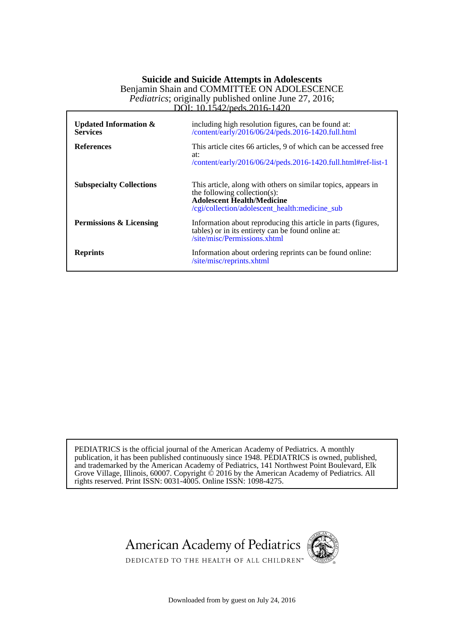### DOI: 10.1542/peds.2016-1420 *Pediatrics*; originally published online June 27, 2016; Benjamin Shain and COMMITTEE ON ADOLESCENCE **Suicide and Suicide Attempts in Adolescents**

| Updated Information $\&$<br><b>Services</b> | including high resolution figures, can be found at:<br>/content/early/2016/06/24/peds.2016-1420.full.html                                                                            |
|---------------------------------------------|--------------------------------------------------------------------------------------------------------------------------------------------------------------------------------------|
| <b>References</b>                           | This article cites 66 articles, 9 of which can be accessed free<br>at:<br>/content/early/2016/06/24/peds.2016-1420.full.html#ref-list-1                                              |
| <b>Subspecialty Collections</b>             | This article, along with others on similar topics, appears in<br>the following collection(s):<br><b>Adolescent Health/Medicine</b><br>/cgi/collection/adolescent_health:medicine_sub |
| <b>Permissions &amp; Licensing</b>          | Information about reproducing this article in parts (figures,<br>tables) or in its entirety can be found online at:<br>/site/misc/Permissions.xhtml                                  |
| <b>Reprints</b>                             | Information about ordering reprints can be found online:<br>/site/misc/reprints.xhtml                                                                                                |

rights reserved. Print ISSN: 0031-4005. Online ISSN: 1098-4275. Grove Village, Illinois, 60007. Copyright  $\ddot{\odot}$  2016 by the American Academy of Pediatrics. All and trademarked by the American Academy of Pediatrics, 141 Northwest Point Boulevard, Elk publication, it has been published continuously since 1948. PEDIATRICS is owned, published, PEDIATRICS is the official journal of the American Academy of Pediatrics. A monthly





DEDICATED TO THE HEALTH OF ALL CHILDREN™